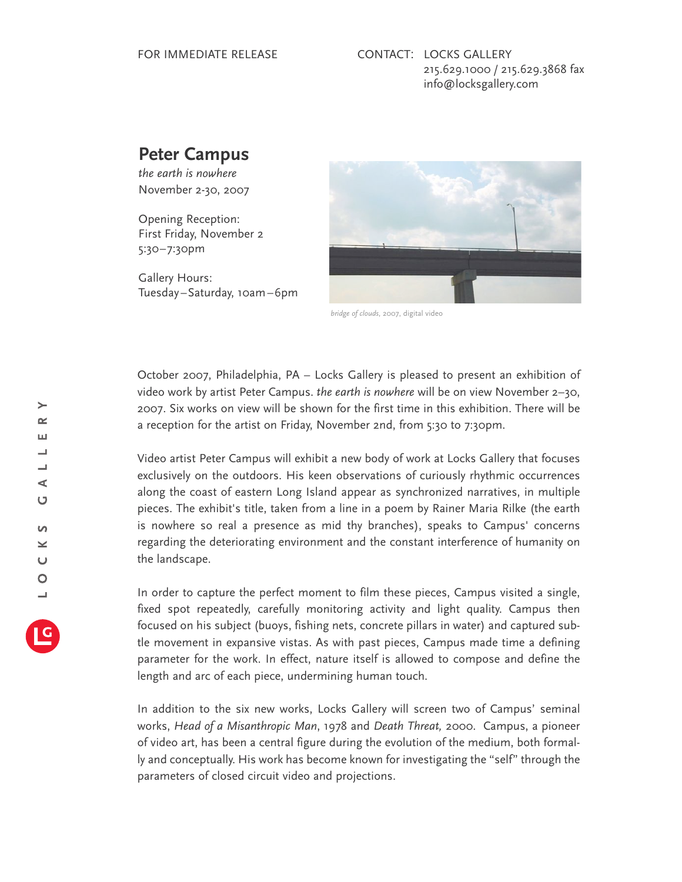## **Peter Campus**

*the earth is nowhere* November 2-30, 2007

Opening Reception: First Friday, November 2 5:30–7:30pm

Gallery Hours: Tuesday–Saturday, 10am–6pm



*bridge of clouds*, 2007, digital video

October 2007, Philadelphia, PA – Locks Gallery is pleased to present an exhibition of video work by artist Peter Campus. *the earth is nowhere* will be on view November 2–30, 2007. Six works on view will be shown for the first time in this exhibition. There will be a reception for the artist on Friday, November 2nd, from 5:30 to 7:30pm.

Video artist Peter Campus will exhibit a new body of work at Locks Gallery that focuses exclusively on the outdoors. His keen observations of curiously rhythmic occurrences along the coast of eastern Long Island appear as synchronized narratives, in multiple pieces. The exhibit's title, taken from a line in a poem by Rainer Maria Rilke (the earth is nowhere so real a presence as mid thy branches), speaks to Campus' concerns regarding the deteriorating environment and the constant interference of humanity on the landscape.

In order to capture the perfect moment to film these pieces, Campus visited a single, fixed spot repeatedly, carefully monitoring activity and light quality. Campus then focused on his subject (buoys, fishing nets, concrete pillars in water) and captured subtle movement in expansive vistas. As with past pieces, Campus made time a defining parameter for the work. In effect, nature itself is allowed to compose and define the length and arc of each piece, undermining human touch.

In addition to the six new works, Locks Gallery will screen two of Campus' seminal works, *Head of a Misanthropic Man*, 1978 and *Death Threat,* 2000. Campus, a pioneer of video art, has been a central figure during the evolution of the medium, both formally and conceptually. His work has become known for investigating the "self" through the parameters of closed circuit video and projections.